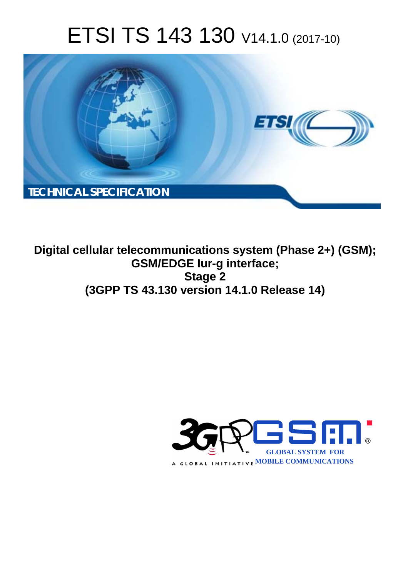# ETSI TS 143 130 V14.1.0 (2017-10)



**Digital cellular telecommunications system (Phase 2+) (GSM); GSM/EDGE Iur-g interface; Stage 2 (3GPP TS 43.130 version 14.1.0 Release 14)** 

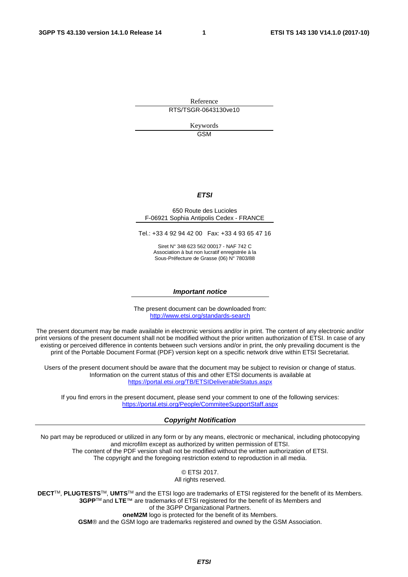Reference RTS/TSGR-0643130ve10

> Keywords GSM

#### *ETSI*

#### 650 Route des Lucioles F-06921 Sophia Antipolis Cedex - FRANCE

Tel.: +33 4 92 94 42 00 Fax: +33 4 93 65 47 16

Siret N° 348 623 562 00017 - NAF 742 C Association à but non lucratif enregistrée à la Sous-Préfecture de Grasse (06) N° 7803/88

#### *Important notice*

The present document can be downloaded from: <http://www.etsi.org/standards-search>

The present document may be made available in electronic versions and/or in print. The content of any electronic and/or print versions of the present document shall not be modified without the prior written authorization of ETSI. In case of any existing or perceived difference in contents between such versions and/or in print, the only prevailing document is the print of the Portable Document Format (PDF) version kept on a specific network drive within ETSI Secretariat.

Users of the present document should be aware that the document may be subject to revision or change of status. Information on the current status of this and other ETSI documents is available at <https://portal.etsi.org/TB/ETSIDeliverableStatus.aspx>

If you find errors in the present document, please send your comment to one of the following services: <https://portal.etsi.org/People/CommiteeSupportStaff.aspx>

#### *Copyright Notification*

No part may be reproduced or utilized in any form or by any means, electronic or mechanical, including photocopying and microfilm except as authorized by written permission of ETSI. The content of the PDF version shall not be modified without the written authorization of ETSI. The copyright and the foregoing restriction extend to reproduction in all media.

> © ETSI 2017. All rights reserved.

**DECT**TM, **PLUGTESTS**TM, **UMTS**TM and the ETSI logo are trademarks of ETSI registered for the benefit of its Members. **3GPP**TM and **LTE**™ are trademarks of ETSI registered for the benefit of its Members and of the 3GPP Organizational Partners. **oneM2M** logo is protected for the benefit of its Members.

**GSM**® and the GSM logo are trademarks registered and owned by the GSM Association.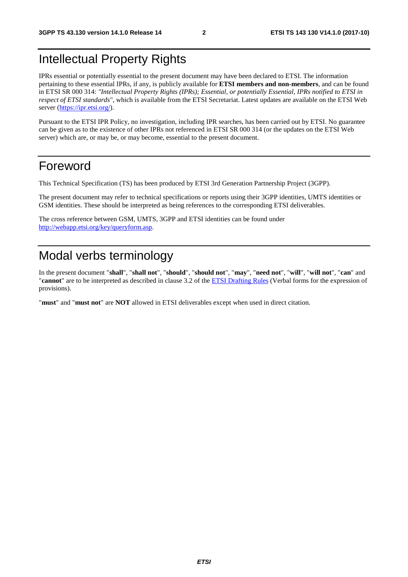### Intellectual Property Rights

IPRs essential or potentially essential to the present document may have been declared to ETSI. The information pertaining to these essential IPRs, if any, is publicly available for **ETSI members and non-members**, and can be found in ETSI SR 000 314: *"Intellectual Property Rights (IPRs); Essential, or potentially Essential, IPRs notified to ETSI in respect of ETSI standards"*, which is available from the ETSI Secretariat. Latest updates are available on the ETSI Web server ([https://ipr.etsi.org/\)](https://ipr.etsi.org/).

Pursuant to the ETSI IPR Policy, no investigation, including IPR searches, has been carried out by ETSI. No guarantee can be given as to the existence of other IPRs not referenced in ETSI SR 000 314 (or the updates on the ETSI Web server) which are, or may be, or may become, essential to the present document.

### Foreword

This Technical Specification (TS) has been produced by ETSI 3rd Generation Partnership Project (3GPP).

The present document may refer to technical specifications or reports using their 3GPP identities, UMTS identities or GSM identities. These should be interpreted as being references to the corresponding ETSI deliverables.

The cross reference between GSM, UMTS, 3GPP and ETSI identities can be found under [http://webapp.etsi.org/key/queryform.asp.](http://webapp.etsi.org/key/queryform.asp)

### Modal verbs terminology

In the present document "**shall**", "**shall not**", "**should**", "**should not**", "**may**", "**need not**", "**will**", "**will not**", "**can**" and "**cannot**" are to be interpreted as described in clause 3.2 of the [ETSI Drafting Rules](https://portal.etsi.org/Services/editHelp!/Howtostart/ETSIDraftingRules.aspx) (Verbal forms for the expression of provisions).

"**must**" and "**must not**" are **NOT** allowed in ETSI deliverables except when used in direct citation.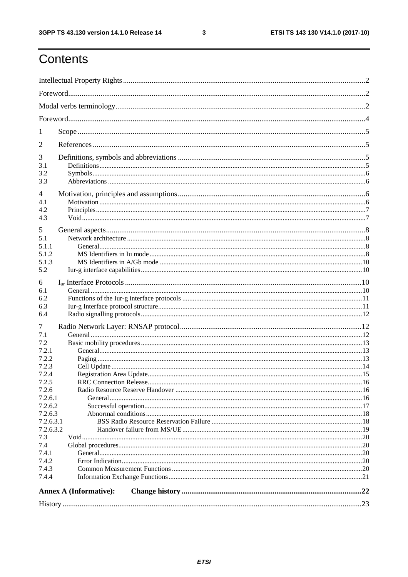ETSI TS 143 130 V14.1.0 (2017-10)

## Contents

| $\mathbf{I}$   |                               |  |  |  |  |  |  |
|----------------|-------------------------------|--|--|--|--|--|--|
| 2              |                               |  |  |  |  |  |  |
| 3              |                               |  |  |  |  |  |  |
| 3.1            |                               |  |  |  |  |  |  |
| 3.2            |                               |  |  |  |  |  |  |
| 3.3            |                               |  |  |  |  |  |  |
| 4              |                               |  |  |  |  |  |  |
| 4.1            |                               |  |  |  |  |  |  |
| 4.2            |                               |  |  |  |  |  |  |
| 4.3            |                               |  |  |  |  |  |  |
| 5              |                               |  |  |  |  |  |  |
| 5.1            |                               |  |  |  |  |  |  |
| 5.1.1          |                               |  |  |  |  |  |  |
| 5.1.2          |                               |  |  |  |  |  |  |
| 5.1.3          |                               |  |  |  |  |  |  |
| 5.2            |                               |  |  |  |  |  |  |
| 6              |                               |  |  |  |  |  |  |
| 6.1            |                               |  |  |  |  |  |  |
| 6.2            |                               |  |  |  |  |  |  |
| 6.3            |                               |  |  |  |  |  |  |
| 6.4            |                               |  |  |  |  |  |  |
| 7              |                               |  |  |  |  |  |  |
| 7.1            |                               |  |  |  |  |  |  |
| 7.2            |                               |  |  |  |  |  |  |
| 7.2.1          |                               |  |  |  |  |  |  |
| 7.2.2          |                               |  |  |  |  |  |  |
| 7.2.3<br>7.2.4 |                               |  |  |  |  |  |  |
| 7.2.5          |                               |  |  |  |  |  |  |
| 7.2.6          |                               |  |  |  |  |  |  |
| 7.2.6.1        |                               |  |  |  |  |  |  |
| 7.2.6.2        |                               |  |  |  |  |  |  |
| 7.2.6.3        |                               |  |  |  |  |  |  |
| 7.2.6.3.1      |                               |  |  |  |  |  |  |
| 7.2.6.3.2      |                               |  |  |  |  |  |  |
| 7.3            |                               |  |  |  |  |  |  |
| 7.4<br>7.4.1   |                               |  |  |  |  |  |  |
| 7.4.2          |                               |  |  |  |  |  |  |
| 7.4.3          |                               |  |  |  |  |  |  |
| 7.4.4          |                               |  |  |  |  |  |  |
|                |                               |  |  |  |  |  |  |
|                | <b>Annex A (Informative):</b> |  |  |  |  |  |  |
|                |                               |  |  |  |  |  |  |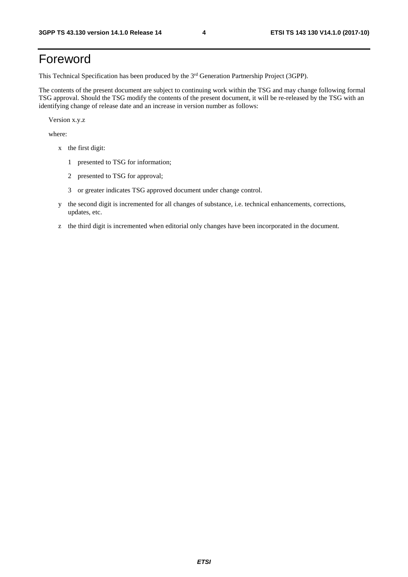### Foreword

This Technical Specification has been produced by the 3rd Generation Partnership Project (3GPP).

The contents of the present document are subject to continuing work within the TSG and may change following formal TSG approval. Should the TSG modify the contents of the present document, it will be re-released by the TSG with an identifying change of release date and an increase in version number as follows:

Version x.y.z

where:

- x the first digit:
	- 1 presented to TSG for information;
	- 2 presented to TSG for approval;
	- 3 or greater indicates TSG approved document under change control.
- y the second digit is incremented for all changes of substance, i.e. technical enhancements, corrections, updates, etc.
- z the third digit is incremented when editorial only changes have been incorporated in the document.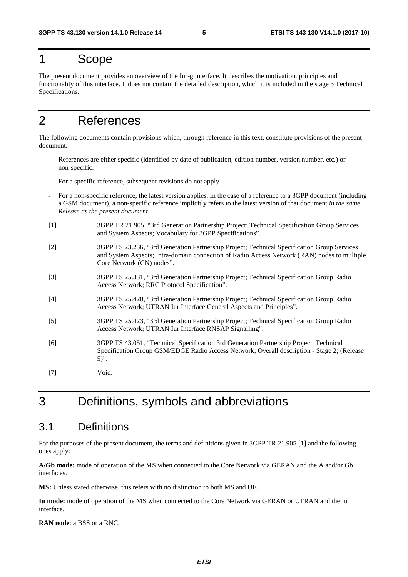### 1 Scope

The present document provides an overview of the Iur-g interface. It describes the motivation, principles and functionality of this interface. It does not contain the detailed description, which it is included in the stage 3 Technical Specifications.

### 2 References

The following documents contain provisions which, through reference in this text, constitute provisions of the present document.

- References are either specific (identified by date of publication, edition number, version number, etc.) or non-specific.
- For a specific reference, subsequent revisions do not apply.
- For a non-specific reference, the latest version applies. In the case of a reference to a 3GPP document (including a GSM document), a non-specific reference implicitly refers to the latest version of that document *in the same Release as the present document*.
- [1] 3GPP TR 21.905, "3rd Generation Partnership Project; Technical Specification Group Services and System Aspects; Vocabulary for 3GPP Specifications".
- [2] 3GPP TS 23.236, "3rd Generation Partnership Project; Technical Specification Group Services and System Aspects; Intra-domain connection of Radio Access Network (RAN) nodes to multiple Core Network (CN) nodes".
- [3] 3GPP TS 25.331, "3rd Generation Partnership Project; Technical Specification Group Radio Access Network; RRC Protocol Specification".
- [4] 3GPP TS 25.420, "3rd Generation Partnership Project; Technical Specification Group Radio Access Network; UTRAN Iur Interface General Aspects and Principles".
- [5] 3GPP TS 25.423, "3rd Generation Partnership Project; Technical Specification Group Radio Access Network; UTRAN Iur Interface RNSAP Signalling".
- [6] 3GPP TS 43.051, "Technical Specification 3rd Generation Partnership Project; Technical Specification Group GSM/EDGE Radio Access Network; Overall description - Stage 2; (Release  $\overline{5}$ ".
- [7] Void.

### 3 Definitions, symbols and abbreviations

### 3.1 Definitions

For the purposes of the present document, the terms and definitions given in 3GPP TR 21.905 [1] and the following ones apply:

**A/Gb mode:** mode of operation of the MS when connected to the Core Network via GERAN and the A and/or Gb interfaces.

**MS:** Unless stated otherwise, this refers with no distinction to both MS and UE.

Iu mode: mode of operation of the MS when connected to the Core Network via GERAN or UTRAN and the Iu interface.

**RAN node**: a BSS or a RNC.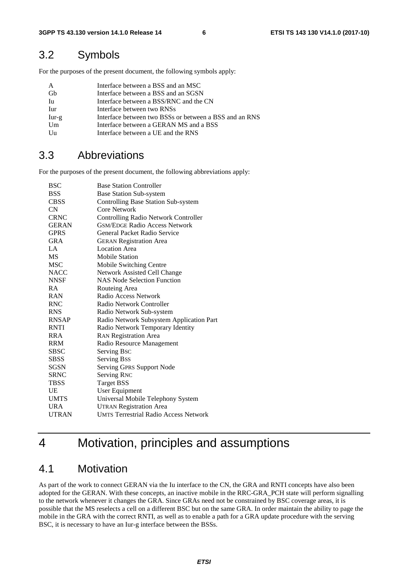### 3.2 Symbols

For the purposes of the present document, the following symbols apply:

| A         | Interface between a BSS and an MSC                     |
|-----------|--------------------------------------------------------|
| <b>Gb</b> | Interface between a BSS and an SGSN                    |
| Iu        | Interface between a BSS/RNC and the CN                 |
| Iur       | Interface between two RNSs                             |
| $Iur-g$   | Interface between two BSSs or between a BSS and an RNS |
| Um        | Interface between a GERAN MS and a BSS                 |
| Uu        | Interface between a UE and the RNS                     |

### 3.3 Abbreviations

For the purposes of the present document, the following abbreviations apply:

| BSC          | <b>Base Station Controller</b>               |
|--------------|----------------------------------------------|
| BSS          | <b>Base Station Sub-system</b>               |
| <b>CBSS</b>  | <b>Controlling Base Station Sub-system</b>   |
| CN           | Core Network                                 |
| <b>CRNC</b>  | <b>Controlling Radio Network Controller</b>  |
| <b>GERAN</b> | <b>GSM/EDGE Radio Access Network</b>         |
| <b>GPRS</b>  | General Packet Radio Service                 |
| <b>GRA</b>   | <b>GERAN Registration Area</b>               |
| LA           | <b>Location Area</b>                         |
| MS           | <b>Mobile Station</b>                        |
| <b>MSC</b>   | Mobile Switching Centre                      |
| <b>NACC</b>  | <b>Network Assisted Cell Change</b>          |
| <b>NNSF</b>  | <b>NAS Node Selection Function</b>           |
| <b>RA</b>    | Routeing Area                                |
| <b>RAN</b>   | Radio Access Network                         |
| <b>RNC</b>   | Radio Network Controller                     |
| <b>RNS</b>   | Radio Network Sub-system                     |
| <b>RNSAP</b> | Radio Network Subsystem Application Part     |
| <b>RNTI</b>  | Radio Network Temporary Identity             |
| <b>RRA</b>   | <b>RAN Registration Area</b>                 |
| <b>RRM</b>   | Radio Resource Management                    |
| <b>SBSC</b>  | Serving Bsc                                  |
| <b>SBSS</b>  | <b>Serving Bss</b>                           |
| SGSN         | <b>Serving GPRS Support Node</b>             |
| <b>SRNC</b>  | <b>Serving RNC</b>                           |
| TBSS         | <b>Target BSS</b>                            |
| UE           | User Equipment                               |
| <b>UMTS</b>  | Universal Mobile Telephony System            |
| URA          | <b>UTRAN Registration Area</b>               |
| <b>UTRAN</b> | <b>UMTS Terrestrial Radio Access Network</b> |

### 4 Motivation, principles and assumptions

### 4.1 Motivation

As part of the work to connect GERAN via the Iu interface to the CN, the GRA and RNTI concepts have also been adopted for the GERAN. With these concepts, an inactive mobile in the RRC-GRA\_PCH state will perform signalling to the network whenever it changes the GRA. Since GRAs need not be constrained by BSC coverage areas, it is possible that the MS reselects a cell on a different BSC but on the same GRA. In order maintain the ability to page the mobile in the GRA with the correct RNTI, as well as to enable a path for a GRA update procedure with the serving BSC, it is necessary to have an Iur-g interface between the BSSs.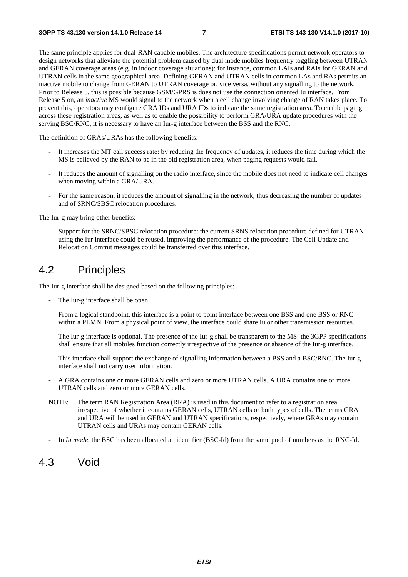The same principle applies for dual-RAN capable mobiles. The architecture specifications permit network operators to design networks that alleviate the potential problem caused by dual mode mobiles frequently toggling between UTRAN and GERAN coverage areas (e.g. in indoor coverage situations): for instance, common LAIs and RAIs for GERAN and UTRAN cells in the same geographical area. Defining GERAN and UTRAN cells in common LAs and RAs permits an inactive mobile to change from GERAN to UTRAN coverage or, vice versa, without any signalling to the network. Prior to Release 5, this is possible because GSM/GPRS is does not use the connection oriented Iu interface. From Release 5 on, an *inactive* MS would signal to the network when a cell change involving change of RAN takes place. To prevent this, operators may configure GRA IDs and URA IDs to indicate the same registration area. To enable paging across these registration areas, as well as to enable the possibility to perform GRA/URA update procedures with the serving BSC/RNC, it is necessary to have an Iur-g interface between the BSS and the RNC.

The definition of GRAs/URAs has the following benefits:

- It increases the MT call success rate: by reducing the frequency of updates, it reduces the time during which the MS is believed by the RAN to be in the old registration area, when paging requests would fail.
- It reduces the amount of signalling on the radio interface, since the mobile does not need to indicate cell changes when moving within a GRA/URA.
- For the same reason, it reduces the amount of signalling in the network, thus decreasing the number of updates and of SRNC/SBSC relocation procedures.

The Iur-g may bring other benefits:

- Support for the SRNC/SBSC relocation procedure: the current SRNS relocation procedure defined for UTRAN using the Iur interface could be reused, improving the performance of the procedure. The Cell Update and Relocation Commit messages could be transferred over this interface.

### 4.2 Principles

The Iur-g interface shall be designed based on the following principles:

- The Iur-g interface shall be open.
- From a logical standpoint, this interface is a point to point interface between one BSS and one BSS or RNC within a PLMN. From a physical point of view, the interface could share Iu or other transmission resources.
- The Iur-g interface is optional. The presence of the Iur-g shall be transparent to the MS: the 3GPP specifications shall ensure that all mobiles function correctly irrespective of the presence or absence of the Iur-g interface.
- This interface shall support the exchange of signalling information between a BSS and a BSC/RNC. The Iur-g interface shall not carry user information.
- A GRA contains one or more GERAN cells and zero or more UTRAN cells. A URA contains one or more UTRAN cells and zero or more GERAN cells.
- NOTE: The term RAN Registration Area (RRA) is used in this document to refer to a registration area irrespective of whether it contains GERAN cells, UTRAN cells or both types of cells. The terms GRA and URA will be used in GERAN and UTRAN specifications, respectively, where GRAs may contain UTRAN cells and URAs may contain GERAN cells.
- In *Iu mode*, the BSC has been allocated an identifier (BSC-Id) from the same pool of numbers as the RNC-Id.

#### 4.3 Void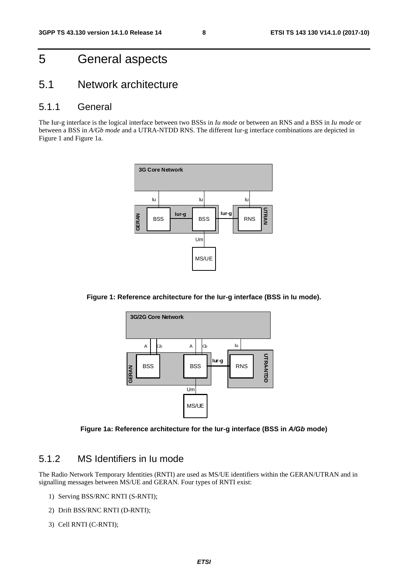### 5 General aspects

### 5.1 Network architecture

#### 5.1.1 General

The Iur-g interface is the logical interface between two BSSs in *Iu mode* or between an RNS and a BSS in *Iu mode* or between a BSS in *A/Gb mode* and a UTRA-NTDD RNS. The different Iur-g interface combinations are depicted in Figure 1 and Figure 1a.



**Figure 1: Reference architecture for the Iur-g interface (BSS in Iu mode).** 



**Figure 1a: Reference architecture for the Iur-g interface (BSS in** *A/Gb* **mode)** 

#### 5.1.2 MS Identifiers in Iu mode

The Radio Network Temporary Identities (RNTI) are used as MS/UE identifiers within the GERAN/UTRAN and in signalling messages between MS/UE and GERAN. Four types of RNTI exist:

- 1) Serving BSS/RNC RNTI (S-RNTI);
- 2) Drift BSS/RNC RNTI (D-RNTI);
- 3) Cell RNTI (C-RNTI);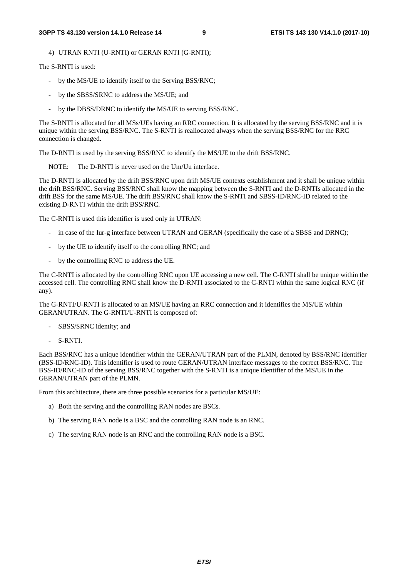4) UTRAN RNTI (U-RNTI) or GERAN RNTI (G-RNTI);

The S-RNTI is used:

- by the MS/UE to identify itself to the Serving BSS/RNC;
- by the SBSS/SRNC to address the MS/UE; and
- by the DBSS/DRNC to identify the MS/UE to serving BSS/RNC.

The S-RNTI is allocated for all MSs/UEs having an RRC connection. It is allocated by the serving BSS/RNC and it is unique within the serving BSS/RNC. The S-RNTI is reallocated always when the serving BSS/RNC for the RRC connection is changed.

The D-RNTI is used by the serving BSS/RNC to identify the MS/UE to the drift BSS/RNC.

NOTE: The D-RNTI is never used on the Um/Uu interface.

The D-RNTI is allocated by the drift BSS/RNC upon drift MS/UE contexts establishment and it shall be unique within the drift BSS/RNC. Serving BSS/RNC shall know the mapping between the S-RNTI and the D-RNTIs allocated in the drift BSS for the same MS/UE. The drift BSS/RNC shall know the S-RNTI and SBSS-ID/RNC-ID related to the existing D-RNTI within the drift BSS/RNC.

The C-RNTI is used this identifier is used only in UTRAN:

- in case of the Iur-g interface between UTRAN and GERAN (specifically the case of a SBSS and DRNC);
- by the UE to identify itself to the controlling RNC; and
- by the controlling RNC to address the UE.

The C-RNTI is allocated by the controlling RNC upon UE accessing a new cell. The C-RNTI shall be unique within the accessed cell. The controlling RNC shall know the D-RNTI associated to the C-RNTI within the same logical RNC (if any).

The G-RNTI/U-RNTI is allocated to an MS/UE having an RRC connection and it identifies the MS/UE within GERAN/UTRAN. The G-RNTI/U-RNTI is composed of:

- SBSS/SRNC identity; and
- S-RNTI.

Each BSS/RNC has a unique identifier within the GERAN/UTRAN part of the PLMN, denoted by BSS/RNC identifier (BSS-ID/RNC-ID). This identifier is used to route GERAN/UTRAN interface messages to the correct BSS/RNC. The BSS-ID/RNC-ID of the serving BSS/RNC together with the S-RNTI is a unique identifier of the MS/UE in the GERAN/UTRAN part of the PLMN.

From this architecture, there are three possible scenarios for a particular MS/UE:

- a) Both the serving and the controlling RAN nodes are BSCs.
- b) The serving RAN node is a BSC and the controlling RAN node is an RNC.
- c) The serving RAN node is an RNC and the controlling RAN node is a BSC.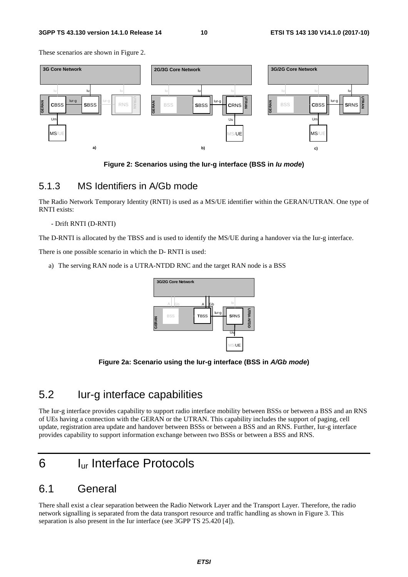These scenarios are shown in Figure 2.



**Figure 2: Scenarios using the Iur-g interface (BSS in** *Iu mode***)** 

#### 5.1.3 MS Identifiers in A/Gb mode

The Radio Network Temporary Identity (RNTI) is used as a MS/UE identifier within the GERAN/UTRAN. One type of RNTI exists:

#### - Drift RNTI (D-RNTI)

The D-RNTI is allocated by the TBSS and is used to identify the MS/UE during a handover via the Iur-g interface.

There is one possible scenario in which the D- RNTI is used:

a) The serving RAN node is a UTRA-NTDD RNC and the target RAN node is a BSS



**Figure 2a: Scenario using the Iur-g interface (BSS in** *A/Gb mode***)** 

### 5.2 Iur-g interface capabilities

The Iur-g interface provides capability to support radio interface mobility between BSSs or between a BSS and an RNS of UEs having a connection with the GERAN or the UTRAN. This capability includes the support of paging, cell update, registration area update and handover between BSSs or between a BSS and an RNS. Further, Iur-g interface provides capability to support information exchange between two BSSs or between a BSS and RNS.

### 6 Iur Interface Protocols

### 6.1 General

There shall exist a clear separation between the Radio Network Layer and the Transport Layer. Therefore, the radio network signalling is separated from the data transport resource and traffic handling as shown in Figure 3. This separation is also present in the Iur interface (see 3GPP TS 25.420 [4]).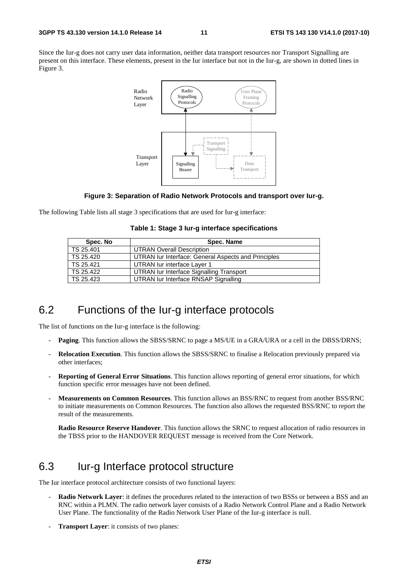Since the Iur-g does not carry user data information, neither data transport resources nor Transport Signalling are present on this interface. These elements, present in the Iur interface but not in the Iur-g, are shown in dotted lines in Figure 3.



#### **Figure 3: Separation of Radio Network Protocols and transport over Iur-g.**

The following Table lists all stage 3 specifications that are used for Iur-g interface:

|  |  |  | Table 1: Stage 3 lur-g interface specifications |
|--|--|--|-------------------------------------------------|
|--|--|--|-------------------------------------------------|

| Spec. No  | Spec. Name                                          |
|-----------|-----------------------------------------------------|
| TS 25.401 | <b>UTRAN Overall Description</b>                    |
| TS 25.420 | UTRAN Iur Interface: General Aspects and Principles |
| TS 25.421 | UTRAN lur interface Layer 1                         |
| TS 25.422 | UTRAN Iur Interface Signalling Transport            |
| TS 25.423 | UTRAN lur Interface RNSAP Signalling                |

### 6.2 Functions of the Iur-g interface protocols

The list of functions on the Iur-g interface is the following:

- **Paging**. This function allows the SBSS/SRNC to page a MS/UE in a GRA/URA or a cell in the DBSS/DRNS;
- **Relocation Execution**. This function allows the SBSS/SRNC to finalise a Relocation previously prepared via other interfaces;
- **Reporting of General Error Situations**. This function allows reporting of general error situations, for which function specific error messages have not been defined.
- **Measurements on Common Resources**. This function allows an BSS/RNC to request from another BSS/RNC to initiate measurements on Common Resources. The function also allows the requested BSS/RNC to report the result of the measurements.

**Radio Resource Reserve Handover**. This function allows the SRNC to request allocation of radio resources in the TBSS prior to the HANDOVER REQUEST message is received from the Core Network.

### 6.3 Iur-g Interface protocol structure

The Iur interface protocol architecture consists of two functional layers:

- **Radio Network Layer**: it defines the procedures related to the interaction of two BSSs or between a BSS and an RNC within a PLMN. The radio network layer consists of a Radio Network Control Plane and a Radio Network User Plane. The functionality of the Radio Network User Plane of the Iur-g interface is null.
- **Transport Layer:** it consists of two planes: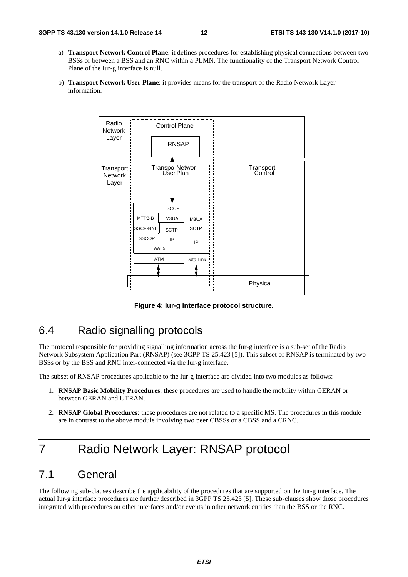- a) **Transport Network Control Plane**: it defines procedures for establishing physical connections between two BSSs or between a BSS and an RNC within a PLMN. The functionality of the Transport Network Control Plane of the Iur-g interface is null.
- b) **Transport Network User Plane**: it provides means for the transport of the Radio Network Layer information.



**Figure 4: Iur-g interface protocol structure.** 

### 6.4 Radio signalling protocols

The protocol responsible for providing signalling information across the Iur-g interface is a sub-set of the Radio Network Subsystem Application Part (RNSAP) (see 3GPP TS 25.423 [5]). This subset of RNSAP is terminated by two BSSs or by the BSS and RNC inter-connected via the Iur-g interface.

The subset of RNSAP procedures applicable to the Iur-g interface are divided into two modules as follows:

- 1. **RNSAP Basic Mobility Procedures**: these procedures are used to handle the mobility within GERAN or between GERAN and UTRAN.
- 2. **RNSAP Global Procedures**: these procedures are not related to a specific MS. The procedures in this module are in contrast to the above module involving two peer CBSSs or a CBSS and a CRNC.

### 7 Radio Network Layer: RNSAP protocol

### 7.1 General

The following sub-clauses describe the applicability of the procedures that are supported on the Iur-g interface. The actual Iur-g interface procedures are further described in 3GPP TS 25.423 [5]. These sub-clauses show those procedures integrated with procedures on other interfaces and/or events in other network entities than the BSS or the RNC.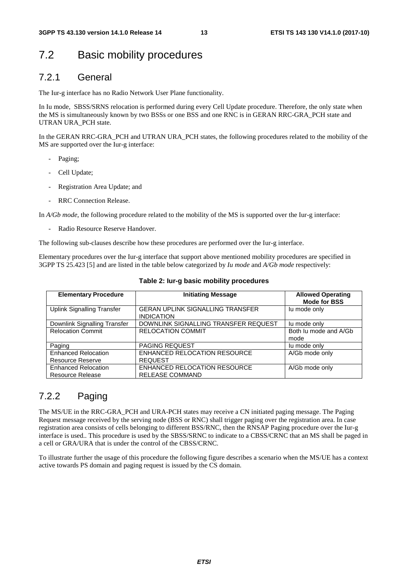### 7.2 Basic mobility procedures

#### 7.2.1 General

The Iur-g interface has no Radio Network User Plane functionality.

In Iu mode, SBSS/SRNS relocation is performed during every Cell Update procedure. Therefore, the only state when the MS is simultaneously known by two BSSs or one BSS and one RNC is in GERAN RRC-GRA\_PCH state and UTRAN URA\_PCH state.

In the GERAN RRC-GRA PCH and UTRAN URA PCH states, the following procedures related to the mobility of the MS are supported over the Iur-g interface:

- Paging;
- Cell Update;
- Registration Area Update; and
- RRC Connection Release.

In *A/Gb mode*, the following procedure related to the mobility of the MS is supported over the Iur-g interface:

Radio Resource Reserve Handover.

The following sub-clauses describe how these procedures are performed over the Iur-g interface.

Elementary procedures over the Iur-g interface that support above mentioned mobility procedures are specified in 3GPP TS 25.423 [5] and are listed in the table below categorized by *Iu mode* and *A/Gb mode* respectively:

| <b>Elementary Procedure</b>                           | <b>Initiating Message</b>                                    | <b>Allowed Operating</b><br><b>Mode for BSS</b> |
|-------------------------------------------------------|--------------------------------------------------------------|-------------------------------------------------|
| <b>Uplink Signalling Transfer</b>                     | <b>GERAN UPLINK SIGNALLING TRANSFER</b><br><b>INDICATION</b> | lu mode only                                    |
| Downlink Signalling Transfer                          | DOWNLINK SIGNALLING TRANSFER REQUEST                         | lu mode only                                    |
| <b>Relocation Commit</b>                              | <b>RELOCATION COMMIT</b>                                     | Both Ju mode and A/Gb<br>mode                   |
| Paging                                                | <b>PAGING REQUEST</b>                                        | lu mode only                                    |
| <b>Enhanced Relocation</b>                            | ENHANCED RELOCATION RESOURCE                                 | A/Gb mode only                                  |
| <b>Resource Reserve</b>                               | <b>REQUEST</b>                                               |                                                 |
| <b>Enhanced Relocation</b><br><b>Resource Release</b> | ENHANCED RELOCATION RESOURCE<br><b>RELEASE COMMAND</b>       | A/Gb mode only                                  |

#### **Table 2: Iur-g basic mobility procedures**

#### 7.2.2 Paging

The MS/UE in the RRC-GRA\_PCH and URA-PCH states may receive a CN initiated paging message. The Paging Request message received by the serving node (BSS or RNC) shall trigger paging over the registration area. In case registration area consists of cells belonging to different BSS/RNC, then the RNSAP Paging procedure over the Iur-g interface is used.. This procedure is used by the SBSS/SRNC to indicate to a CBSS/CRNC that an MS shall be paged in a cell or GRA/URA that is under the control of the CBSS/CRNC.

To illustrate further the usage of this procedure the following figure describes a scenario when the MS/UE has a context active towards PS domain and paging request is issued by the CS domain.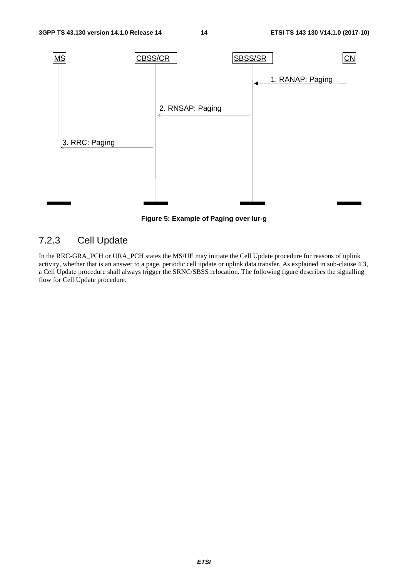

**Figure 5: Example of Paging over Iur-g** 

### 7.2.3 Cell Update

In the RRC-GRA\_PCH or URA\_PCH states the MS/UE may initiate the Cell Update procedure for reasons of uplink activity, whether that is an answer to a page, periodic cell update or uplink data transfer. As explained in sub-clause 4.3, a Cell Update procedure shall always trigger the SRNC/SBSS relocation. The following figure describes the signalling flow for Cell Update procedure.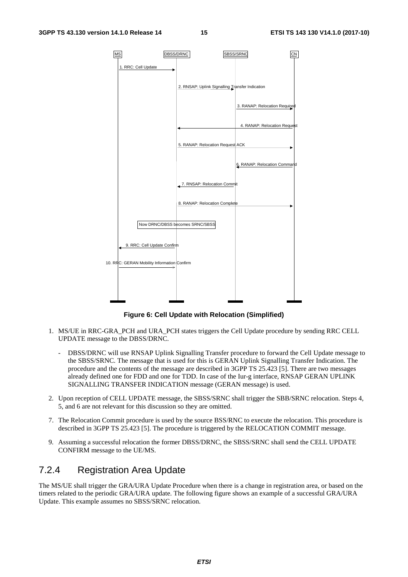

**Figure 6: Cell Update with Relocation (Simplified)** 

- 1. MS/UE in RRC-GRA\_PCH and URA\_PCH states triggers the Cell Update procedure by sending RRC CELL UPDATE message to the DBSS/DRNC.
	- DBSS/DRNC will use RNSAP Uplink Signalling Transfer procedure to forward the Cell Update message to the SBSS/SRNC. The message that is used for this is GERAN Uplink Signalling Transfer Indication. The procedure and the contents of the message are described in 3GPP TS 25.423 [5]. There are two messages already defined one for FDD and one for TDD. In case of the Iur-g interface, RNSAP GERAN UPLINK SIGNALLING TRANSFER INDICATION message (GERAN message) is used.
- 2. Upon reception of CELL UPDATE message, the SBSS/SRNC shall trigger the SBB/SRNC relocation. Steps 4, 5, and 6 are not relevant for this discussion so they are omitted.
- 7. The Relocation Commit procedure is used by the source BSS/RNC to execute the relocation. This procedure is described in 3GPP TS 25.423 [5]. The procedure is triggered by the RELOCATION COMMIT message.
- 9. Assuming a successful relocation the former DBSS/DRNC, the SBSS/SRNC shall send the CELL UPDATE CONFIRM message to the UE/MS.

#### 7.2.4 Registration Area Update

The MS/UE shall trigger the GRA/URA Update Procedure when there is a change in registration area, or based on the timers related to the periodic GRA/URA update. The following figure shows an example of a successful GRA/URA Update. This example assumes no SBSS/SRNC relocation.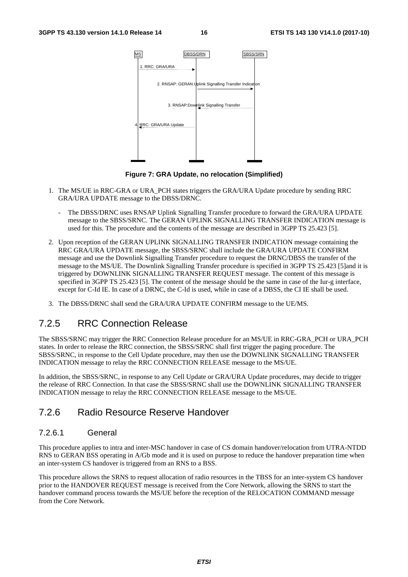

**Figure 7: GRA Update, no relocation (Simplified)** 

- 1. The MS/UE in RRC-GRA or URA\_PCH states triggers the GRA/URA Update procedure by sending RRC GRA/URA UPDATE message to the DBSS/DRNC.
	- The DBSS/DRNC uses RNSAP Uplink Signalling Transfer procedure to forward the GRA/URA UPDATE message to the SBSS/SRNC. The GERAN UPLINK SIGNALLING TRANSFER INDICATION message is used for this. The procedure and the contents of the message are described in 3GPP TS 25.423 [5].
- 2. Upon reception of the GERAN UPLINK SIGNALLING TRANSFER INDICATION message containing the RRC GRA/URA UPDATE message, the SBSS/SRNC shall include the GRA/URA UPDATE CONFIRM message and use the Downlink Signalling Transfer procedure to request the DRNC/DBSS the transfer of the message to the MS/UE. The Downlink Signalling Transfer procedure is specified in 3GPP TS 25.423 [5]and it is triggered by DOWNLINK SIGNALLING TRANSFER REQUEST message. The content of this message is specified in 3GPP TS 25.423 [5]. The content of the message should be the same in case of the Iur-g interface, except for C-Id IE. In case of a DRNC, the C-Id is used, while in case of a DBSS, the CI IE shall be used.
- 3. The DBSS/DRNC shall send the GRA/URA UPDATE CONFIRM message to the UE/MS.

#### 7.2.5 RRC Connection Release

The SBSS/SRNC may trigger the RRC Connection Release procedure for an MS/UE in RRC-GRA\_PCH or URA\_PCH states. In order to release the RRC connection, the SBSS/SRNC shall first trigger the paging procedure. The SBSS/SRNC, in response to the Cell Update procedure, may then use the DOWNLINK SIGNALLING TRANSFER INDICATION message to relay the RRC CONNECTION RELEASE message to the MS/UE.

In addition, the SBSS/SRNC, in response to any Cell Update or GRA/URA Update procedures, may decide to trigger the release of RRC Connection. In that case the SBSS/SRNC shall use the DOWNLINK SIGNALLING TRANSFER INDICATION message to relay the RRC CONNECTION RELEASE message to the MS/UE.

#### 7.2.6 Radio Resource Reserve Handover

#### 7.2.6.1 General

This procedure applies to intra and inter-MSC handover in case of CS domain handover/relocation from UTRA-NTDD RNS to GERAN BSS operating in A/Gb mode and it is used on purpose to reduce the handover preparation time when an inter-system CS handover is triggered from an RNS to a BSS.

This procedure allows the SRNS to request allocation of radio resources in the TBSS for an inter-system CS handover prior to the HANDOVER REQUEST message is received from the Core Network, allowing the SRNS to start the handover command process towards the MS/UE before the reception of the RELOCATION COMMAND message from the Core Network.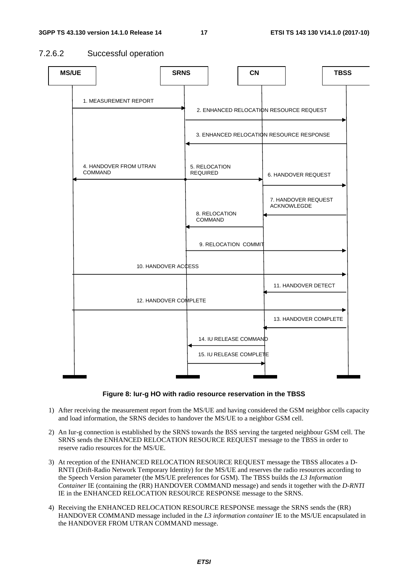#### 7.2.6.2 Successful operation





- 1) After receiving the measurement report from the MS/UE and having considered the GSM neighbor cells capacity and load information, the SRNS decides to handover the MS/UE to a neighbor GSM cell.
- 2) An Iur-g connection is established by the SRNS towards the BSS serving the targeted neighbour GSM cell. The SRNS sends the ENHANCED RELOCATION RESOURCE REQUEST message to the TBSS in order to reserve radio resources for the MS/UE.
- 3) At reception of the ENHANCED RELOCATION RESOURCE REQUEST message the TBSS allocates a D-RNTI (Drift-Radio Network Temporary Identity) for the MS/UE and reserves the radio resources according to the Speech Version parameter (the MS/UE preferences for GSM). The TBSS builds the *L3 Information Container* IE (containing the (RR) HANDOVER COMMAND message) and sends it together with the *D-RNTI* IE in the ENHANCED RELOCATION RESOURCE RESPONSE message to the SRNS.
- 4) Receiving the ENHANCED RELOCATION RESOURCE RESPONSE message the SRNS sends the (RR) HANDOVER COMMAND message included in the *L3 information container* IE to the MS/UE encapsulated in the HANDOVER FROM UTRAN COMMAND message.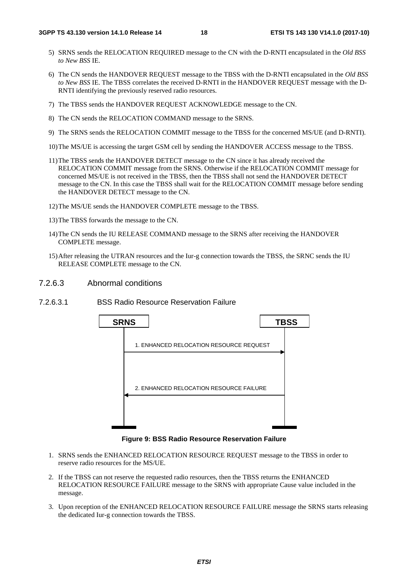- 5) SRNS sends the RELOCATION REQUIRED message to the CN with the D-RNTI encapsulated in the *Old BSS to New BSS* IE.
- 6) The CN sends the HANDOVER REQUEST message to the TBSS with the D-RNTI encapsulated in the *Old BSS to New BSS* IE. The TBSS correlates the received D-RNTI in the HANDOVER REQUEST message with the D-RNTI identifying the previously reserved radio resources.
- 7) The TBSS sends the HANDOVER REQUEST ACKNOWLEDGE message to the CN.
- 8) The CN sends the RELOCATION COMMAND message to the SRNS.
- 9) The SRNS sends the RELOCATION COMMIT message to the TBSS for the concerned MS/UE (and D-RNTI).
- 10) The MS/UE is accessing the target GSM cell by sending the HANDOVER ACCESS message to the TBSS.
- 11) The TBSS sends the HANDOVER DETECT message to the CN since it has already received the RELOCATION COMMIT message from the SRNS. Otherwise if the RELOCATION COMMIT message for concerned MS/UE is not received in the TBSS, then the TBSS shall not send the HANDOVER DETECT message to the CN. In this case the TBSS shall wait for the RELOCATION COMMIT message before sending the HANDOVER DETECT message to the CN.
- 12) The MS/UE sends the HANDOVER COMPLETE message to the TBSS.
- 13) The TBSS forwards the message to the CN.
- 14) The CN sends the IU RELEASE COMMAND message to the SRNS after receiving the HANDOVER COMPLETE message.
- 15) After releasing the UTRAN resources and the Iur-g connection towards the TBSS, the SRNC sends the IU RELEASE COMPLETE message to the CN.
- 7.2.6.3 Abnormal conditions
- 7.2.6.3.1 BSS Radio Resource Reservation Failure



**Figure 9: BSS Radio Resource Reservation Failure** 

- 1. SRNS sends the ENHANCED RELOCATION RESOURCE REQUEST message to the TBSS in order to reserve radio resources for the MS/UE.
- 2. If the TBSS can not reserve the requested radio resources, then the TBSS returns the ENHANCED RELOCATION RESOURCE FAILURE message to the SRNS with appropriate Cause value included in the message.
- 3. Upon reception of the ENHANCED RELOCATION RESOURCE FAILURE message the SRNS starts releasing the dedicated Iur-g connection towards the TBSS.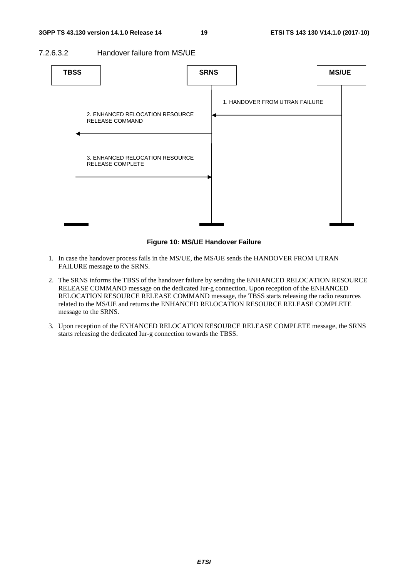7.2.6.3.2 Handover failure from MS/UE



#### **Figure 10: MS/UE Handover Failure**

- 1. In case the handover process fails in the MS/UE, the MS/UE sends the HANDOVER FROM UTRAN FAILURE message to the SRNS.
- 2. The SRNS informs the TBSS of the handover failure by sending the ENHANCED RELOCATION RESOURCE RELEASE COMMAND message on the dedicated Iur-g connection. Upon reception of the ENHANCED RELOCATION RESOURCE RELEASE COMMAND message, the TBSS starts releasing the radio resources related to the MS/UE and returns the ENHANCED RELOCATION RESOURCE RELEASE COMPLETE message to the SRNS.
- 3. Upon reception of the ENHANCED RELOCATION RESOURCE RELEASE COMPLETE message, the SRNS starts releasing the dedicated Iur-g connection towards the TBSS.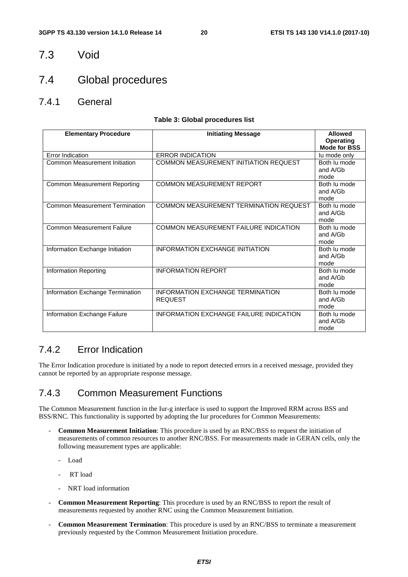#### 7.3 Void

### 7.4 Global procedures

7.4.1 General

#### **Table 3: Global procedures list**

| <b>Elementary Procedure</b>           | <b>Initiating Message</b>                                 | <b>Allowed</b><br>Operating<br><b>Mode for BSS</b> |
|---------------------------------------|-----------------------------------------------------------|----------------------------------------------------|
| Error Indication                      | <b>ERROR INDICATION</b>                                   | lu mode only                                       |
| Common Measurement Initiation         | COMMON MEASUREMENT INITIATION REQUEST                     | Both lu mode<br>and A/Gb<br>mode                   |
| <b>Common Measurement Reporting</b>   | <b>COMMON MEASUREMENT REPORT</b>                          | Both lu mode<br>and A/Gb<br>mode                   |
| <b>Common Measurement Termination</b> | COMMON MEASUREMENT TERMINATION REQUEST                    | Both lu mode<br>and A/Gb<br>mode                   |
| <b>Common Measurement Failure</b>     | COMMON MEASUREMENT FAILURE INDICATION                     | Both lu mode<br>and A/Gb<br>mode                   |
| Information Exchange Initiation       | <b>INFORMATION EXCHANGE INITIATION</b>                    | Both lu mode<br>and A/Gb<br>mode                   |
| Information Reporting                 | <b>INFORMATION REPORT</b>                                 | Both lu mode<br>and A/Gb<br>mode                   |
| Information Exchange Termination      | <b>INFORMATION EXCHANGE TERMINATION</b><br><b>REQUEST</b> | Both lu mode<br>and A/Gb<br>mode                   |
| Information Exchange Failure          | <b>INFORMATION EXCHANGE FAILURE INDICATION</b>            | Both lu mode<br>and A/Gb<br>mode                   |

#### 7.4.2 Error Indication

The Error Indication procedure is initiated by a node to report detected errors in a received message, provided they cannot be reported by an appropriate response message.

#### 7.4.3 Common Measurement Functions

The Common Measurement function in the Iur-g interface is used to support the Improved RRM across BSS and BSS/RNC. This functionality is supported by adopting the Iur procedures for Common Measurements:

- **Common Measurement Initiation**: This procedure is used by an RNC/BSS to request the initiation of measurements of common resources to another RNC/BSS. For measurements made in GERAN cells, only the following measurement types are applicable:
	- Load
	- RT load
	- NRT load information
- **Common Measurement Reporting**: This procedure is used by an RNC/BSS to report the result of measurements requested by another RNC using the Common Measurement Initiation.
- **Common Measurement Termination**: This procedure is used by an RNC/BSS to terminate a measurement previously requested by the Common Measurement Initiation procedure.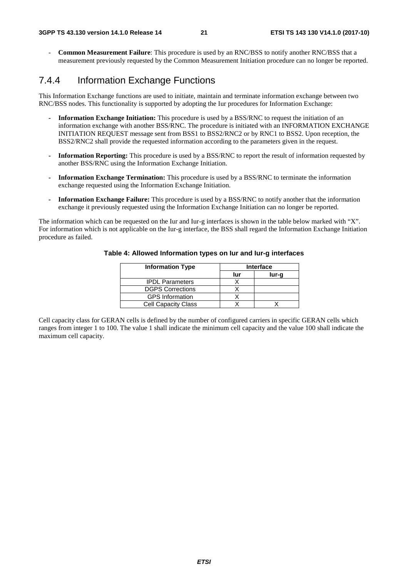- **Common Measurement Failure**: This procedure is used by an RNC/BSS to notify another RNC/BSS that a measurement previously requested by the Common Measurement Initiation procedure can no longer be reported.

#### 7.4.4 Information Exchange Functions

This Information Exchange functions are used to initiate, maintain and terminate information exchange between two RNC/BSS nodes. This functionality is supported by adopting the Iur procedures for Information Exchange:

- **Information Exchange Initiation:** This procedure is used by a BSS/RNC to request the initiation of an information exchange with another BSS/RNC. The procedure is initiated with an INFORMATION EXCHANGE INITIATION REQUEST message sent from BSS1 to BSS2/RNC2 or by RNC1 to BSS2. Upon reception, the BSS2/RNC2 shall provide the requested information according to the parameters given in the request.
- **Information Reporting:** This procedure is used by a BSS/RNC to report the result of information requested by another BSS/RNC using the Information Exchange Initiation.
- **Information Exchange Termination:** This procedure is used by a BSS/RNC to terminate the information exchange requested using the Information Exchange Initiation.
- **Information Exchange Failure:** This procedure is used by a BSS/RNC to notify another that the information exchange it previously requested using the Information Exchange Initiation can no longer be reported.

The information which can be requested on the Iur and Iur-g interfaces is shown in the table below marked with "X". For information which is not applicable on the Iur-g interface, the BSS shall regard the Information Exchange Initiation procedure as failed.

| <b>Information Type</b>    |     | <b>Interface</b> |  |  |
|----------------------------|-----|------------------|--|--|
|                            | lur | lur-g            |  |  |
| <b>IPDL Parameters</b>     |     |                  |  |  |
| <b>DGPS Corrections</b>    |     |                  |  |  |
| <b>GPS</b> Information     |     |                  |  |  |
| <b>Cell Capacity Class</b> |     |                  |  |  |

#### **Table 4: Allowed Information types on Iur and Iur-g interfaces**

Cell capacity class for GERAN cells is defined by the number of configured carriers in specific GERAN cells which ranges from integer 1 to 100. The value 1 shall indicate the minimum cell capacity and the value 100 shall indicate the maximum cell capacity.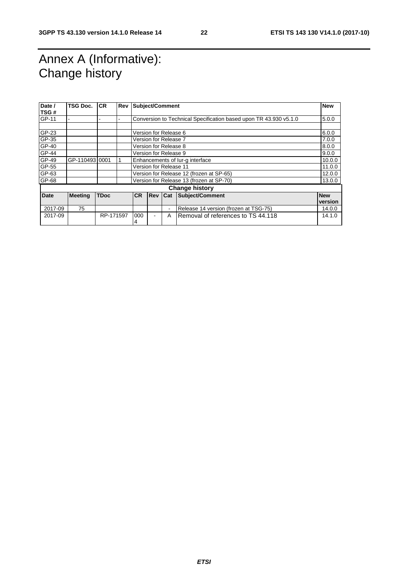### Annex A (Informative): Change history

| Date /<br>TSG# | TSG Doc.              | <b>CR</b>   | Rev | Subject/Comment                          |                                                                   |                | <b>New</b>                            |            |
|----------------|-----------------------|-------------|-----|------------------------------------------|-------------------------------------------------------------------|----------------|---------------------------------------|------------|
| GP-11          |                       |             |     |                                          | Conversion to Technical Specification based upon TR 43.930 v5.1.0 |                |                                       | 5.0.0      |
|                |                       |             |     |                                          |                                                                   |                |                                       |            |
| GP-23          |                       |             |     |                                          | Version for Release 6                                             |                |                                       | 6.0.0      |
| GP-35          |                       |             |     |                                          | Version for Release 7                                             |                |                                       | 7.0.0      |
| GP-40          |                       |             |     |                                          | Version for Release 8                                             |                |                                       | 8.0.0      |
| GP-44          |                       |             |     |                                          | Version for Release 9                                             |                |                                       | 9.0.0      |
| GP-49          | GP-11049310001        |             |     |                                          | Enhancements of lur-g interface                                   |                |                                       | 10.0.0     |
| GP-55          |                       |             |     |                                          | Version for Release 11                                            |                |                                       | 11.0.0     |
| GP-63          |                       |             |     |                                          | Version for Release 12 (frozen at SP-65)                          |                | 12.0.0                                |            |
| GP-68          |                       |             |     | Version for Release 13 (frozen at SP-70) |                                                                   | 13.0.0         |                                       |            |
|                | <b>Change history</b> |             |     |                                          |                                                                   |                |                                       |            |
| <b>Date</b>    | <b>Meeting</b>        | <b>TDoc</b> |     | <b>CR</b>                                |                                                                   |                | <b>Rev Cat Subject/Comment</b>        | <b>New</b> |
|                |                       |             |     |                                          |                                                                   |                |                                       | version    |
| 2017-09        | 75                    |             |     |                                          |                                                                   | $\blacksquare$ | Release 14 version (frozen at TSG-75) | 14.0.0     |
| 2017-09        |                       | RP-171597   |     | 000<br>4                                 |                                                                   | A              | Removal of references to TS 44.118    | 14.1.0     |